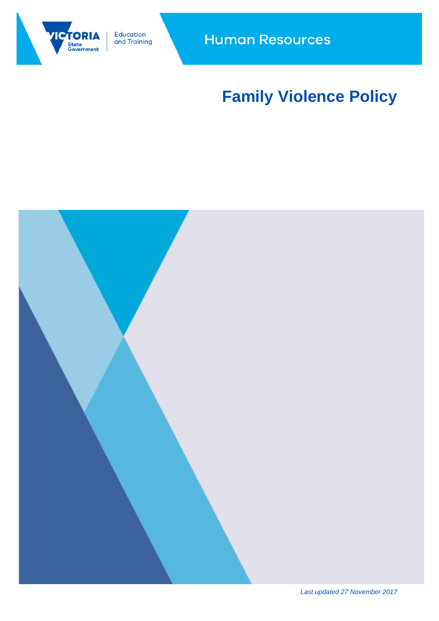

Education and Training

# **Family Violence Policy**

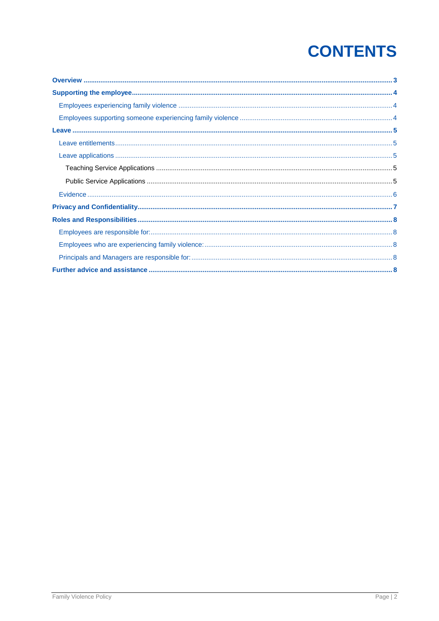# **CONTENTS**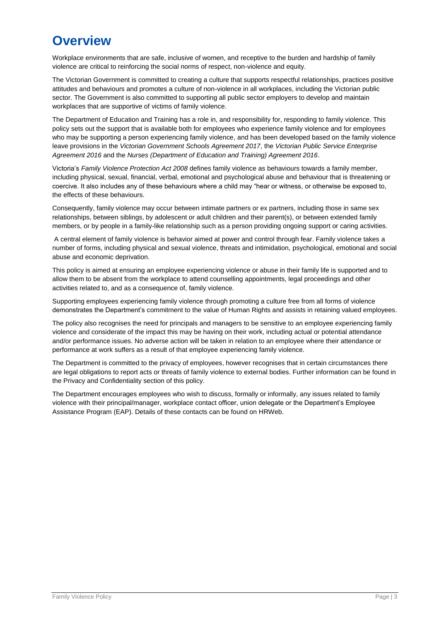### **Overview**

Workplace environments that are safe, inclusive of women, and receptive to the burden and hardship of family violence are critical to reinforcing the social norms of respect, non-violence and equity.

The Victorian Government is committed to creating a culture that supports respectful relationships, practices positive attitudes and behaviours and promotes a culture of non-violence in all workplaces, including the Victorian public sector. The Government is also committed to supporting all public sector employers to develop and maintain workplaces that are supportive of victims of family violence.

The Department of Education and Training has a role in, and responsibility for, responding to family violence. This policy sets out the support that is available both for employees who experience family violence and for employees who may be supporting a person experiencing family violence, and has been developed based on the family violence leave provisions in the *Victorian Government Schools Agreement 2017*, the *Victorian Public Service Enterprise Agreement 2016* and the *Nurses (Department of Education and Training) Agreement 2016*.

Victoria's *Family Violence Protection Act 2008* defines family violence as behaviours towards a family member, including physical, sexual, financial, verbal, emotional and psychological abuse and behaviour that is threatening or coercive. It also includes any of these behaviours where a child may "hear or witness, or otherwise be exposed to, the effects of these behaviours.

Consequently, family violence may occur between intimate partners or ex partners, including those in same sex relationships, between siblings, by adolescent or adult children and their parent(s), or between extended family members, or by people in a family-like relationship such as a person providing ongoing support or caring activities.

A central element of family violence is behavior aimed at power and control through fear. Family violence takes a number of forms, including physical and sexual violence, threats and intimidation, psychological, emotional and social abuse and economic deprivation.

This policy is aimed at ensuring an employee experiencing violence or abuse in their family life is supported and to allow them to be absent from the workplace to attend counselling appointments, legal proceedings and other activities related to, and as a consequence of, family violence.

Supporting employees experiencing family violence through promoting a culture free from all forms of violence demonstrates the Department's commitment to the value of Human Rights and assists in retaining valued employees.

The policy also recognises the need for principals and managers to be sensitive to an employee experiencing family violence and considerate of the impact this may be having on their work, including actual or potential attendance and/or performance issues. No adverse action will be taken in relation to an employee where their attendance or performance at work suffers as a result of that employee experiencing family violence.

The Department is committed to the privacy of employees, however recognises that in certain circumstances there are legal obligations to report acts or threats of family violence to external bodies. Further information can be found in the Privacy and Confidentiality section of this policy.

The Department encourages employees who wish to discuss, formally or informally, any issues related to family violence with their principal/manager, workplace contact officer, union delegate or the Department's Employee Assistance Program (EAP). Details of these contacts can be found on HRWeb.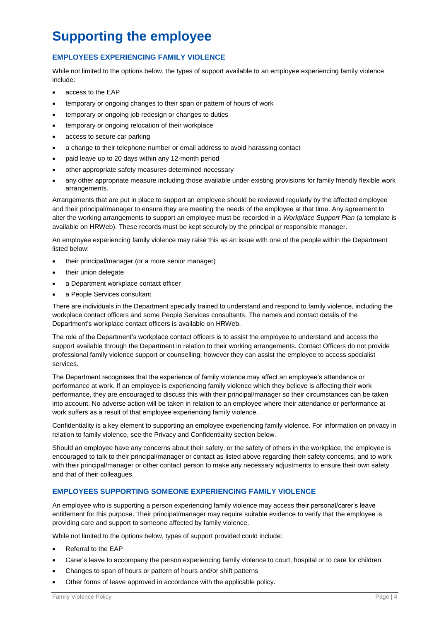## **Supporting the employee**

#### **EMPLOYEES EXPERIENCING FAMILY VIOLENCE**

While not limited to the options below, the types of support available to an employee experiencing family violence include:

- access to the EAP
- temporary or ongoing changes to their span or pattern of hours of work
- temporary or ongoing job redesign or changes to duties
- **•** temporary or ongoing relocation of their workplace
- access to secure car parking
- a change to their telephone number or email address to avoid harassing contact
- paid leave up to 20 days within any 12-month period
- other appropriate safety measures determined necessary
- any other appropriate measure including those available under existing provisions for family friendly flexible work arrangements.

Arrangements that are put in place to support an employee should be reviewed regularly by the affected employee and their principal/manager to ensure they are meeting the needs of the employee at that time. Any agreement to alter the working arrangements to support an employee must be recorded in a *Workplace Support Plan* (a template is available on HRWeb). These records must be kept securely by the principal or responsible manager.

An employee experiencing family violence may raise this as an issue with one of the people within the Department listed below:

- their principal/manager (or a more senior manager)
- their union delegate
- a Department workplace contact officer
- a People Services consultant.

There are individuals in the Department specially trained to understand and respond to family violence, including the workplace contact officers and some People Services consultants. The names and contact details of the Department's workplace contact officers is available on HRWeb.

The role of the Department's workplace contact officers is to assist the employee to understand and access the support available through the Department in relation to their working arrangements. Contact Officers do not provide professional family violence support or counselling; however they can assist the employee to access specialist services.

The Department recognises that the experience of family violence may affect an employee's attendance or performance at work. If an employee is experiencing family violence which they believe is affecting their work performance, they are encouraged to discuss this with their principal/manager so their circumstances can be taken into account. No adverse action will be taken in relation to an employee where their attendance or performance at work suffers as a result of that employee experiencing family violence.

Confidentiality is a key element to supporting an employee experiencing family violence. For information on privacy in relation to family violence, see the Privacy and Confidentiality section below.

Should an employee have any concerns about their safety, or the safety of others in the workplace, the employee is encouraged to talk to their principal/manager or contact as listed above regarding their safety concerns, and to work with their principal/manager or other contact person to make any necessary adjustments to ensure their own safety and that of their colleagues.

#### **EMPLOYEES SUPPORTING SOMEONE EXPERIENCING FAMILY VIOLENCE**

An employee who is supporting a person experiencing family violence may access their personal/carer's leave entitlement for this purpose. Their principal/manager may require suitable evidence to verify that the employee is providing care and support to someone affected by family violence.

While not limited to the options below, types of support provided could include:

- Referral to the EAP
- Carer's leave to accompany the person experiencing family violence to court, hospital or to care for children
- Changes to span of hours or pattern of hours and/or shift patterns
- Other forms of leave approved in accordance with the applicable policy.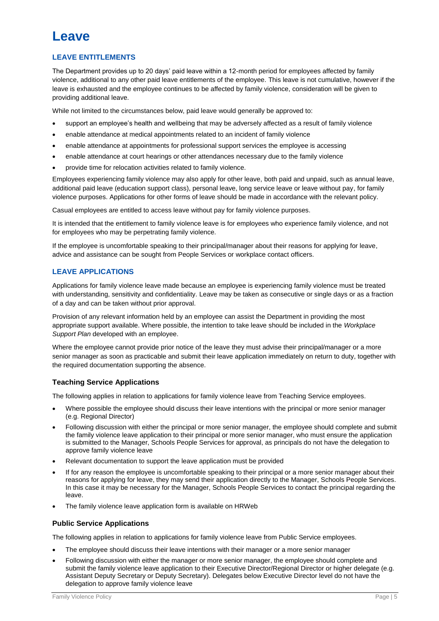### **Leave**

#### **LEAVE ENTITLEMENTS**

The Department provides up to 20 days' paid leave within a 12-month period for employees affected by family violence, additional to any other paid leave entitlements of the employee. This leave is not cumulative, however if the leave is exhausted and the employee continues to be affected by family violence, consideration will be given to providing additional leave.

While not limited to the circumstances below, paid leave would generally be approved to:

- support an employee's health and wellbeing that may be adversely affected as a result of family violence
- enable attendance at medical appointments related to an incident of family violence
- enable attendance at appointments for professional support services the employee is accessing
- enable attendance at court hearings or other attendances necessary due to the family violence
- provide time for relocation activities related to family violence.

Employees experiencing family violence may also apply for other leave, both paid and unpaid, such as annual leave, additional paid leave (education support class), personal leave, long service leave or leave without pay, for family violence purposes. Applications for other forms of leave should be made in accordance with the relevant policy.

Casual employees are entitled to access leave without pay for family violence purposes.

It is intended that the entitlement to family violence leave is for employees who experience family violence, and not for employees who may be perpetrating family violence.

If the employee is uncomfortable speaking to their principal/manager about their reasons for applying for leave, advice and assistance can be sought from People Services or workplace contact officers.

#### **LEAVE APPLICATIONS**

Applications for family violence leave made because an employee is experiencing family violence must be treated with understanding, sensitivity and confidentiality. Leave may be taken as consecutive or single days or as a fraction of a day and can be taken without prior approval.

Provision of any relevant information held by an employee can assist the Department in providing the most appropriate support available. Where possible, the intention to take leave should be included in the *Workplace*  **Support Plan developed with an employee.** 

Where the employee cannot provide prior notice of the leave they must advise their principal/manager or a more senior manager as soon as practicable and submit their leave application immediately on return to duty, together with the required documentation supporting the absence.

#### **Teaching Service Applications**

The following applies in relation to applications for family violence leave from Teaching Service employees.

- Where possible the employee should discuss their leave intentions with the principal or more senior manager (e.g. Regional Director)
- Following discussion with either the principal or more senior manager, the employee should complete and submit the family violence leave application to their principal or more senior manager, who must ensure the application is submitted to the Manager, Schools People Services for approval, as principals do not have the delegation to approve family violence leave
- Relevant documentation to support the leave application must be provided
- If for any reason the employee is uncomfortable speaking to their principal or a more senior manager about their reasons for applying for leave, they may send their application directly to the Manager, Schools People Services. In this case it may be necessary for the Manager, Schools People Services to contact the principal regarding the leave.
- The family violence leave application form is available on HRWeb

#### **Public Service Applications**

The following applies in relation to applications for family violence leave from Public Service employees.

- The employee should discuss their leave intentions with their manager or a more senior manager
- Following discussion with either the manager or more senior manager, the employee should complete and submit the family violence leave application to their Executive Director/Regional Director or higher delegate (e.g. Assistant Deputy Secretary or Deputy Secretary). Delegates below Executive Director level do not have the delegation to approve family violence leave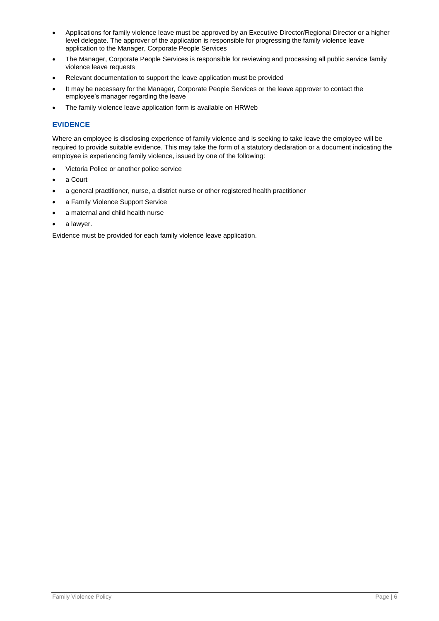- Applications for family violence leave must be approved by an Executive Director/Regional Director or a higher level delegate. The approver of the application is responsible for progressing the family violence leave application to the Manager, Corporate People Services
- The Manager, Corporate People Services is responsible for reviewing and processing all public service family violence leave requests
- Relevant documentation to support the leave application must be provided
- It may be necessary for the Manager, Corporate People Services or the leave approver to contact the employee's manager regarding the leave
- The family violence leave application form is available on HRWeb

#### **EVIDENCE**

Where an employee is disclosing experience of family violence and is seeking to take leave the employee will be required to provide suitable evidence. This may take the form of a statutory declaration or a document indicating the employee is experiencing family violence, issued by one of the following:

- Victoria Police or another police service
- a Court
- a general practitioner, nurse, a district nurse or other registered health practitioner
- a Family Violence Support Service
- a maternal and child health nurse
- a lawyer.

Evidence must be provided for each family violence leave application.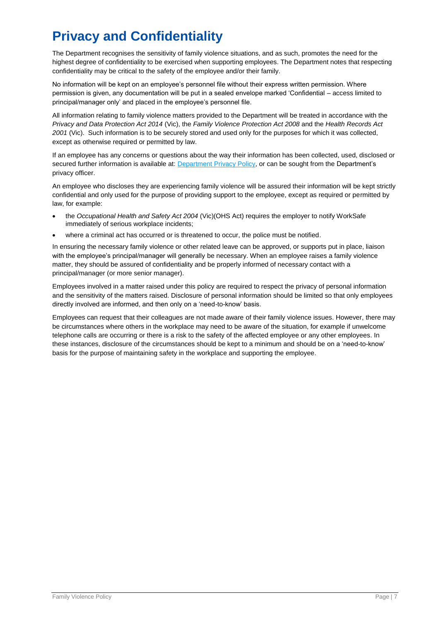# **Privacy and Confidentiality**

The Department recognises the sensitivity of family violence situations, and as such, promotes the need for the highest degree of confidentiality to be exercised when supporting employees. The Department notes that respecting confidentiality may be critical to the safety of the employee and/or their family.

No information will be kept on an employee's personnel file without their express written permission. Where permission is given, any documentation will be put in a sealed envelope marked 'Confidential – access limited to principal/manager only' and placed in the employee's personnel file.

All information relating to family violence matters provided to the Department will be treated in accordance with the *Privacy and Data Protection Act 2014* (Vic), the *Family Violence Protection Act 2008* and the *Health Records Act 2001* (Vic). Such information is to be securely stored and used only for the purposes for which it was collected, except as otherwise required or permitted by law.

If an employee has any concerns or questions about the way their information has been collected, used, disclosed or secured further information is available at: [Department Privacy Policy,](http://www.education.vic.gov.au/Pages/privacypolicy.aspx) or can be sought from the Department's privacy officer.

An employee who discloses they are experiencing family violence will be assured their information will be kept strictly confidential and only used for the purpose of providing support to the employee, except as required or permitted by law, for example:

- the *[Occupational Health and Safety Act 2004](http://www.austlii.edu.au/au/legis/vic/consol_act/ohasa2004273/)* (Vic)(OHS Act) requires the employer to notify WorkSafe immediately of serious workplace incidents;
- where a criminal act has occurred or is threatened to occur, the police must be notified.

In ensuring the necessary family violence or other related leave can be approved, or supports put in place, liaison with the employee's principal/manager will generally be necessary. When an employee raises a family violence matter, they should be assured of confidentiality and be properly informed of necessary contact with a principal/manager (or more senior manager).

Employees involved in a matter raised under this policy are required to respect the privacy of personal information and the sensitivity of the matters raised. Disclosure of personal information should be limited so that only employees directly involved are informed, and then only on a 'need-to-know' basis.

Employees can request that their colleagues are not made aware of their family violence issues. However, there may be circumstances where others in the workplace may need to be aware of the situation, for example if unwelcome telephone calls are occurring or there is a risk to the safety of the affected employee or any other employees. In these instances, disclosure of the circumstances should be kept to a minimum and should be on a 'need-to-know' basis for the purpose of maintaining safety in the workplace and supporting the employee.